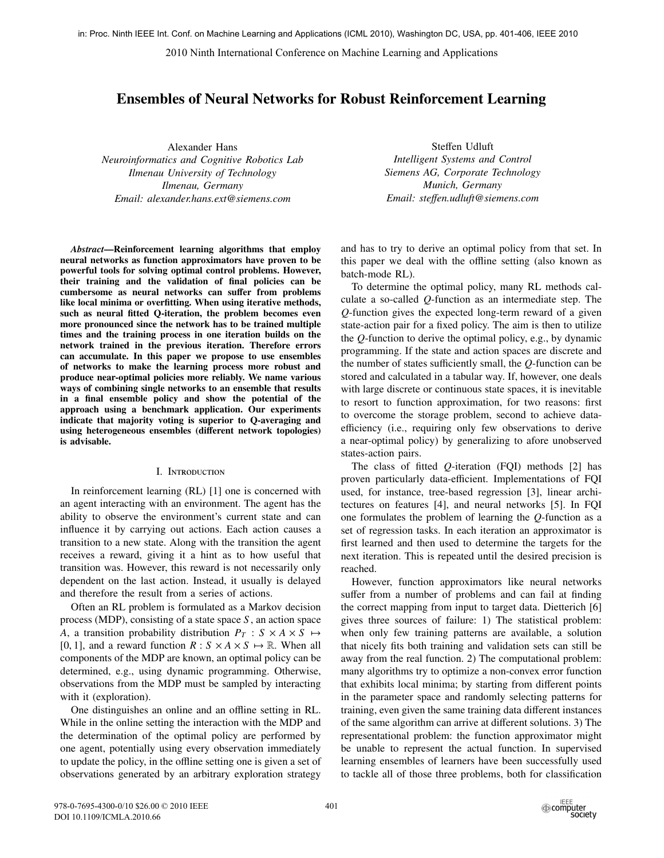in: Proc. Ninth IEEE Int. Conf. on Machine Learning and Applications (ICML 2010), Washington DC, USA, pp. 401-406, IEEE 2010

2010 Ninth International Conference on Machine Learning and Applications

# Ensembles of Neural Networks for Robust Reinforcement Learning

Alexander Hans *Neuroinformatics and Cognitive Robotics Lab Ilmenau University of Technology Ilmenau, Germany Email: alexander.hans.ext@siemens.com*

*Abstract*—Reinforcement learning algorithms that employ neural networks as function approximators have proven to be powerful tools for solving optimal control problems. However, their training and the validation of final policies can be cumbersome as neural networks can suffer from problems like local minima or overfitting. When using iterative methods, such as neural fitted Q-iteration, the problem becomes even more pronounced since the network has to be trained multiple times and the training process in one iteration builds on the network trained in the previous iteration. Therefore errors can accumulate. In this paper we propose to use ensembles of networks to make the learning process more robust and produce near-optimal policies more reliably. We name various ways of combining single networks to an ensemble that results in a final ensemble policy and show the potential of the approach using a benchmark application. Our experiments indicate that majority voting is superior to Q-averaging and using heterogeneous ensembles (different network topologies) is advisable.

## I. Introduction

In reinforcement learning (RL) [1] one is concerned with an agent interacting with an environment. The agent has the ability to observe the environment's current state and can influence it by carrying out actions. Each action causes a transition to a new state. Along with the transition the agent receives a reward, giving it a hint as to how useful that transition was. However, this reward is not necessarily only dependent on the last action. Instead, it usually is delayed and therefore the result from a series of actions.

Often an RL problem is formulated as a Markov decision process (MDP), consisting of a state space *S* , an action space *A*, a transition probability distribution  $P_T$  :  $S \times A \times S \rightarrow$ [0, 1], and a reward function  $R : S \times A \times S \mapsto \mathbb{R}$ . When all components of the MDP are known, an optimal policy can be determined, e.g., using dynamic programming. Otherwise, observations from the MDP must be sampled by interacting with it (exploration).

One distinguishes an online and an offline setting in RL. While in the online setting the interaction with the MDP and the determination of the optimal policy are performed by one agent, potentially using every observation immediately to update the policy, in the offline setting one is given a set of observations generated by an arbitrary exploration strategy

Steffen Udluft *Intelligent Systems and Control Siemens AG, Corporate Technology Munich, Germany Email: ste*ff*en.udluft@siemens.com*

and has to try to derive an optimal policy from that set. In this paper we deal with the offline setting (also known as batch-mode RL).

To determine the optimal policy, many RL methods calculate a so-called *Q*-function as an intermediate step. The *Q*-function gives the expected long-term reward of a given state-action pair for a fixed policy. The aim is then to utilize the *Q*-function to derive the optimal policy, e.g., by dynamic programming. If the state and action spaces are discrete and the number of states sufficiently small, the *Q*-function can be stored and calculated in a tabular way. If, however, one deals with large discrete or continuous state spaces, it is inevitable to resort to function approximation, for two reasons: first to overcome the storage problem, second to achieve dataefficiency (i.e., requiring only few observations to derive a near-optimal policy) by generalizing to afore unobserved states-action pairs.

The class of fitted *Q*-iteration (FQI) methods [2] has proven particularly data-efficient. Implementations of FQI used, for instance, tree-based regression [3], linear architectures on features [4], and neural networks [5]. In FQI one formulates the problem of learning the *Q*-function as a set of regression tasks. In each iteration an approximator is first learned and then used to determine the targets for the next iteration. This is repeated until the desired precision is reached.

However, function approximators like neural networks suffer from a number of problems and can fail at finding the correct mapping from input to target data. Dietterich [6] gives three sources of failure: 1) The statistical problem: when only few training patterns are available, a solution that nicely fits both training and validation sets can still be away from the real function. 2) The computational problem: many algorithms try to optimize a non-convex error function that exhibits local minima; by starting from different points in the parameter space and randomly selecting patterns for training, even given the same training data different instances of the same algorithm can arrive at different solutions. 3) The representational problem: the function approximator might be unable to represent the actual function. In supervised learning ensembles of learners have been successfully used to tackle all of those three problems, both for classification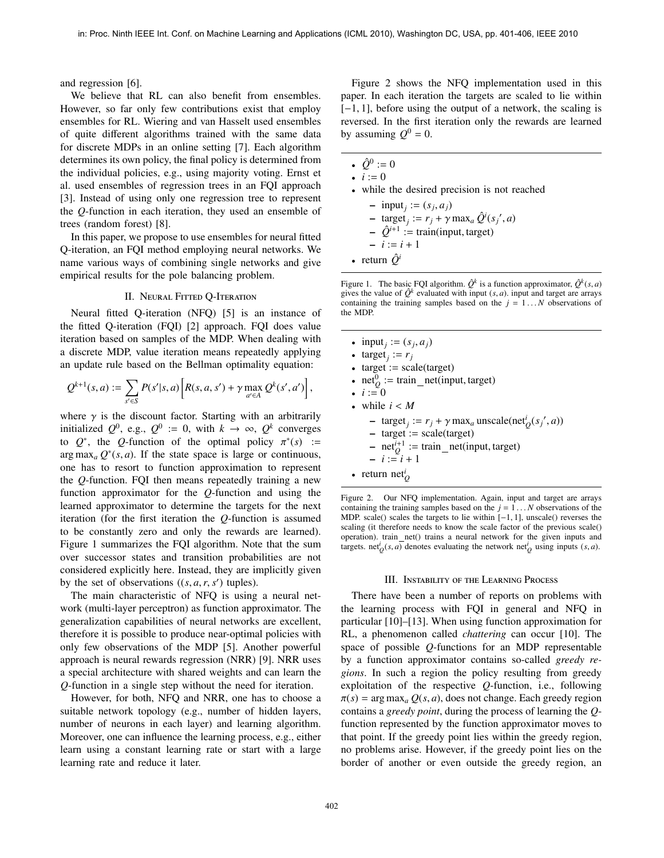and regression [6].

We believe that RL can also benefit from ensembles. However, so far only few contributions exist that employ ensembles for RL. Wiering and van Hasselt used ensembles of quite different algorithms trained with the same data for discrete MDPs in an online setting [7]. Each algorithm determines its own policy, the final policy is determined from the individual policies, e.g., using majority voting. Ernst et al. used ensembles of regression trees in an FQI approach [3]. Instead of using only one regression tree to represent the *Q*-function in each iteration, they used an ensemble of trees (random forest) [8].

In this paper, we propose to use ensembles for neural fitted Q-iteration, an FQI method employing neural networks. We name various ways of combining single networks and give empirical results for the pole balancing problem.

# II. Neural Fitted Q-Iteration

Neural fitted Q-iteration (NFQ) [5] is an instance of the fitted Q-iteration (FQI) [2] approach. FQI does value iteration based on samples of the MDP. When dealing with a discrete MDP, value iteration means repeatedly applying an update rule based on the Bellman optimality equation:

$$
Q^{k+1}(s,a) := \sum_{s' \in S} P(s'|s,a) \left[ R(s,a,s') + \gamma \max_{a' \in A} Q^k(s',a') \right],
$$

where  $\gamma$  is the discount factor. Starting with an arbitrarily initialized  $Q^0$ , e.g.,  $Q^0 := 0$ , with  $k \to \infty$ ,  $Q^k$  converges to  $Q^*$ , the  $Q$ -function of the optimal policy  $\pi^*(s)$  := arg max<sub>*a*</sub>  $Q^*(s, a)$ . If the state space is large or continuous, one has to resort to function approximation to represent the *Q*-function. FQI then means repeatedly training a new function approximator for the *Q*-function and using the learned approximator to determine the targets for the next iteration (for the first iteration the *Q*-function is assumed to be constantly zero and only the rewards are learned). Figure 1 summarizes the FQI algorithm. Note that the sum over successor states and transition probabilities are not considered explicitly here. Instead, they are implicitly given by the set of observations  $((s, a, r, s'))$  tuples).<br>The main characteristic of NEO is using

The main characteristic of NFQ is using a neural network (multi-layer perceptron) as function approximator. The generalization capabilities of neural networks are excellent, therefore it is possible to produce near-optimal policies with only few observations of the MDP [5]. Another powerful approach is neural rewards regression (NRR) [9]. NRR uses a special architecture with shared weights and can learn the *Q*-function in a single step without the need for iteration.

However, for both, NFQ and NRR, one has to choose a suitable network topology (e.g., number of hidden layers, number of neurons in each layer) and learning algorithm. Moreover, one can influence the learning process, e.g., either learn using a constant learning rate or start with a large learning rate and reduce it later.

Figure 2 shows the NFQ implementation used in this paper. In each iteration the targets are scaled to lie within [−1, 1], before using the output of a network, the scaling is reversed. In the first iteration only the rewards are learned by assuming  $Q^0 = 0$ .

- $\boldsymbol{\cdot} \ \ \hat{\mathcal{Q}}^0 \coloneqq 0$
- $i := 0$ • while the desired precision is not reached  $\begin{aligned} \text{input}_j &:= (s_j, a_j) \\ \text{target} &:= r + 2j \end{aligned}$  $\hat{Q}^i(s_j, a)$ <br>  $= \hat{Q}^{i+1}$  :  $\pm$  train(input target)  $-\hat{Q}^{i+1} := \text{train}(\text{input}, \text{target})$ <br> $-i := i + 1$  $- i := i + 1$ • return  $\hat{Q}^i$

Figure 1. The basic FQI algorithm.  $\hat{Q}^k$  is a function approximator,  $\hat{Q}^k(s, a)$  is a function approximator,  $\hat{Q}^k(s, a)$ gives the value of  $\hat{Q}^k$  evaluated with input  $(s, a)$ . input and target are arrays containing the training samples based on the  $i = 1$  N observations of containing the training samples based on the  $j = 1...N$  observations of the MDP.

- input<sub>*j*</sub> :=  $(s_j, a_j)$ <br>
target := r.
- target<sub>*j*</sub> :=  $r_j$
- target := scale(target)
- net $_{Q}^{0}$  := train net(input, target)
- $i := 0$
- while  $i < M$
- $\begin{bmatrix} -\operatorname{target}_j := r_j + \gamma \max_a \operatorname{unsafe}(\operatorname{net}_Q^i(s_j', a)) \\ -\operatorname{target} := \operatorname{scale}(\operatorname{target}) \end{bmatrix}$ – target := scale(target)  $-$  net<sup> $i+1$ </sup> := train net(input, target)<br> $i \cdot i + 1$  $- i := i + 1$ • return net*<sup>i</sup> Q*

Figure 2. Our NFQ implementation. Again, input and target are arrays containing the training samples based on the  $j = 1...N$  observations of the MDP. scale() scales the targets to lie within [−1, 1], unscale() reverses the scaling (it therefore needs to know the scale factor of the previous scale() operation). train net() trains a neural network for the given inputs and targets. net<sup>*i*</sup><sub>Q</sub> $(s, a)$  denotes evaluating the network net<sup>*i*</sup><sub>Q</sub> using inputs  $(s, a)$ .

#### III. Instability of the Learning Process

There have been a number of reports on problems with the learning process with FQI in general and NFQ in particular [10]–[13]. When using function approximation for RL, a phenomenon called *chattering* can occur [10]. The space of possible *Q*-functions for an MDP representable by a function approximator contains so-called *greedy regions*. In such a region the policy resulting from greedy exploitation of the respective *Q*-function, i.e., following  $\pi(s)$  = arg max<sub>*a*</sub>  $Q(s, a)$ , does not change. Each greedy region contains a *greedy point*, during the process of learning the *Q*function represented by the function approximator moves to that point. If the greedy point lies within the greedy region, no problems arise. However, if the greedy point lies on the border of another or even outside the greedy region, an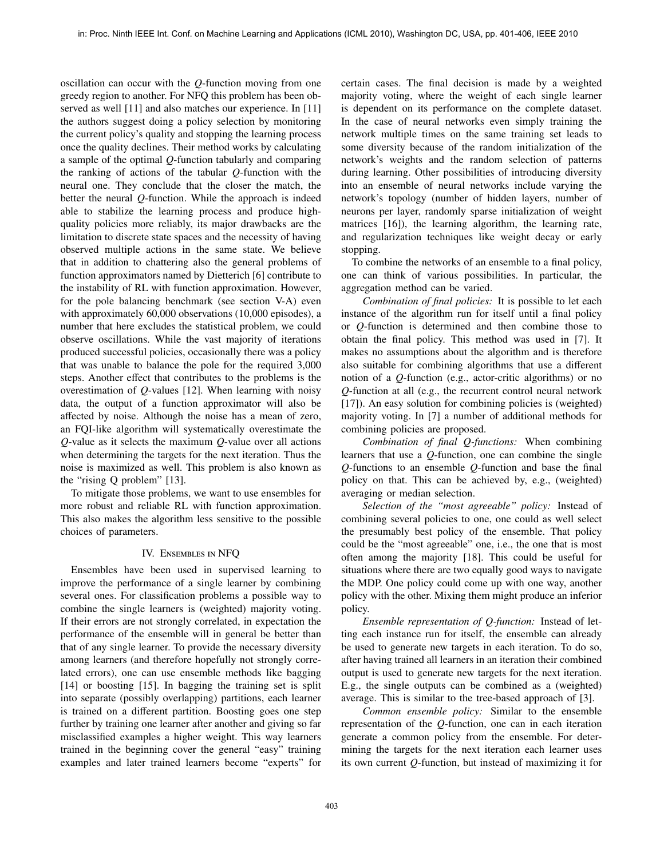oscillation can occur with the *Q*-function moving from one greedy region to another. For NFQ this problem has been observed as well [11] and also matches our experience. In [11] the authors suggest doing a policy selection by monitoring the current policy's quality and stopping the learning process once the quality declines. Their method works by calculating a sample of the optimal *Q*-function tabularly and comparing the ranking of actions of the tabular *Q*-function with the neural one. They conclude that the closer the match, the better the neural *Q*-function. While the approach is indeed able to stabilize the learning process and produce highquality policies more reliably, its major drawbacks are the limitation to discrete state spaces and the necessity of having observed multiple actions in the same state. We believe that in addition to chattering also the general problems of function approximators named by Dietterich [6] contribute to the instability of RL with function approximation. However, for the pole balancing benchmark (see section V-A) even with approximately 60,000 observations (10,000 episodes), a number that here excludes the statistical problem, we could observe oscillations. While the vast majority of iterations produced successful policies, occasionally there was a policy that was unable to balance the pole for the required 3,<sup>000</sup> steps. Another effect that contributes to the problems is the overestimation of *Q*-values [12]. When learning with noisy data, the output of a function approximator will also be affected by noise. Although the noise has a mean of zero, an FQI-like algorithm will systematically overestimate the *Q*-value as it selects the maximum *Q*-value over all actions when determining the targets for the next iteration. Thus the noise is maximized as well. This problem is also known as the "rising Q problem" [13].

To mitigate those problems, we want to use ensembles for more robust and reliable RL with function approximation. This also makes the algorithm less sensitive to the possible choices of parameters.

# IV. Ensembles in NFQ

Ensembles have been used in supervised learning to improve the performance of a single learner by combining several ones. For classification problems a possible way to combine the single learners is (weighted) majority voting. If their errors are not strongly correlated, in expectation the performance of the ensemble will in general be better than that of any single learner. To provide the necessary diversity among learners (and therefore hopefully not strongly correlated errors), one can use ensemble methods like bagging [14] or boosting [15]. In bagging the training set is split into separate (possibly overlapping) partitions, each learner is trained on a different partition. Boosting goes one step further by training one learner after another and giving so far misclassified examples a higher weight. This way learners trained in the beginning cover the general "easy" training examples and later trained learners become "experts" for certain cases. The final decision is made by a weighted majority voting, where the weight of each single learner is dependent on its performance on the complete dataset. In the case of neural networks even simply training the network multiple times on the same training set leads to some diversity because of the random initialization of the network's weights and the random selection of patterns during learning. Other possibilities of introducing diversity into an ensemble of neural networks include varying the network's topology (number of hidden layers, number of neurons per layer, randomly sparse initialization of weight matrices [16]), the learning algorithm, the learning rate, and regularization techniques like weight decay or early stopping.

To combine the networks of an ensemble to a final policy, one can think of various possibilities. In particular, the aggregation method can be varied.

*Combination of final policies:* It is possible to let each instance of the algorithm run for itself until a final policy or *Q*-function is determined and then combine those to obtain the final policy. This method was used in [7]. It makes no assumptions about the algorithm and is therefore also suitable for combining algorithms that use a different notion of a *Q*-function (e.g., actor-critic algorithms) or no *Q*-function at all (e.g., the recurrent control neural network [17]). An easy solution for combining policies is (weighted) majority voting. In [7] a number of additional methods for combining policies are proposed.

*Combination of final Q-functions:* When combining learners that use a *Q*-function, one can combine the single *Q*-functions to an ensemble *Q*-function and base the final policy on that. This can be achieved by, e.g., (weighted) averaging or median selection.

*Selection of the "most agreeable" policy:* Instead of combining several policies to one, one could as well select the presumably best policy of the ensemble. That policy could be the "most agreeable" one, i.e., the one that is most often among the majority [18]. This could be useful for situations where there are two equally good ways to navigate the MDP. One policy could come up with one way, another policy with the other. Mixing them might produce an inferior policy.

*Ensemble representation of Q-function:* Instead of letting each instance run for itself, the ensemble can already be used to generate new targets in each iteration. To do so, after having trained all learners in an iteration their combined output is used to generate new targets for the next iteration. E.g., the single outputs can be combined as a (weighted) average. This is similar to the tree-based approach of [3].

*Common ensemble policy:* Similar to the ensemble representation of the *Q*-function, one can in each iteration generate a common policy from the ensemble. For determining the targets for the next iteration each learner uses its own current *Q*-function, but instead of maximizing it for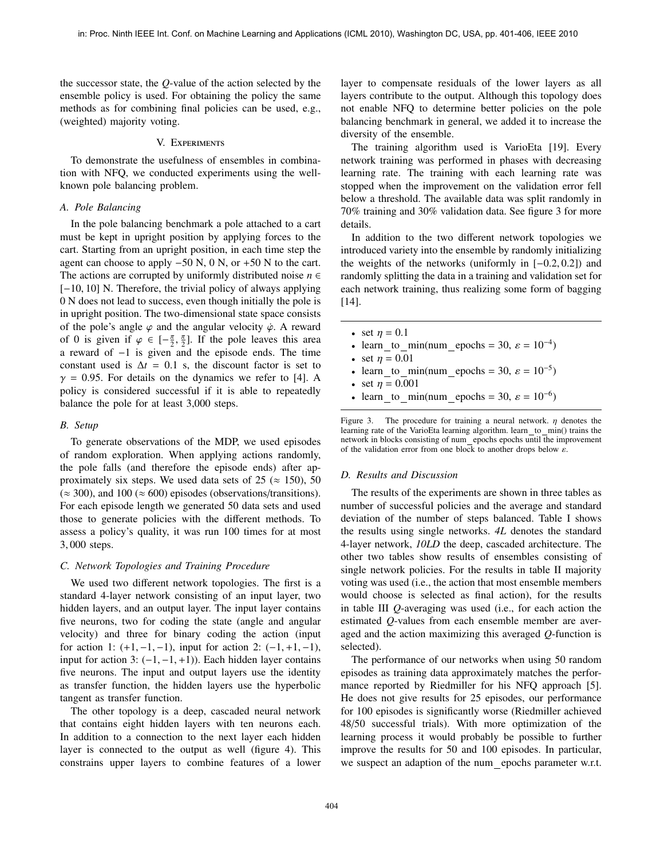the successor state, the *Q*-value of the action selected by the ensemble policy is used. For obtaining the policy the same methods as for combining final policies can be used, e.g., (weighted) majority voting.

# V. Experiments

To demonstrate the usefulness of ensembles in combination with NFQ, we conducted experiments using the wellknown pole balancing problem.

## *A. Pole Balancing*

In the pole balancing benchmark a pole attached to a cart must be kept in upright position by applying forces to the cart. Starting from an upright position, in each time step the agent can choose to apply  $-50$  N, 0 N, or  $+50$  N to the cart. The actions are corrupted by uniformly distributed noise  $n \in$ [−10, 10] N. Therefore, the trivial policy of always applying 0 N does not lead to success, even though initially the pole is in upright position. The two-dimensional state space consists of the pole's angle  $\varphi$  and the angular velocity  $\dot{\varphi}$ . A reward of 0 is given if  $\varphi \in [-\frac{\pi}{2}, \frac{\pi}{2}]$ . If the pole leaves this area<br>a reward of -1 is given and the enisode ends. The time a reward of  $-1$  is given and the episode ends. The time constant used is  $\Delta t = 0.1$  s, the discount factor is set to  $\gamma = 0.95$ . For details on the dynamics we refer to [4]. A policy is considered successful if it is able to repeatedly balance the pole for at least 3,000 steps.

#### *B. Setup*

To generate observations of the MDP, we used episodes of random exploration. When applying actions randomly, the pole falls (and therefore the episode ends) after approximately six steps. We used data sets of  $25 \approx 150$ , 50  $(\approx 300)$ , and 100 ( $\approx 600$ ) episodes (observations/transitions). For each episode length we generated 50 data sets and used those to generate policies with the different methods. To assess a policy's quality, it was run 100 times for at most <sup>3</sup>, 000 steps.

## *C. Network Topologies and Training Procedure*

We used two different network topologies. The first is a standard 4-layer network consisting of an input layer, two hidden layers, and an output layer. The input layer contains five neurons, two for coding the state (angle and angular velocity) and three for binary coding the action (input for action 1:  $(+1, -1, -1)$ , input for action 2:  $(-1, +1, -1)$ , input for action 3:  $(-1, -1, +1)$ ). Each hidden layer contains five neurons. The input and output layers use the identity as transfer function, the hidden layers use the hyperbolic tangent as transfer function.

The other topology is a deep, cascaded neural network that contains eight hidden layers with ten neurons each. In addition to a connection to the next layer each hidden layer is connected to the output as well (figure 4). This constrains upper layers to combine features of a lower layer to compensate residuals of the lower layers as all layers contribute to the output. Although this topology does not enable NFQ to determine better policies on the pole balancing benchmark in general, we added it to increase the diversity of the ensemble.

The training algorithm used is VarioEta [19]. Every network training was performed in phases with decreasing learning rate. The training with each learning rate was stopped when the improvement on the validation error fell below a threshold. The available data was split randomly in 70% training and 30% validation data. See figure 3 for more details.

In addition to the two different network topologies we introduced variety into the ensemble by randomly initializing the weights of the networks (uniformly in [−0.2, <sup>0</sup>.2]) and randomly splitting the data in a training and validation set for each network training, thus realizing some form of bagging [14].

| • set $\eta = 0.1$ |            |
|--------------------|------------|
|                    | learn to 1 |

- learn to min(num epochs = 30,  $\varepsilon = 10^{-4}$ )
- set  $\eta = 0.01$
- learn to min(num epochs = 30,  $\varepsilon = 10^{-5}$ )
- 
- set  $\eta = 0.001$ <br>• learn to mi • learn to min(num epochs = 30,  $\varepsilon = 10^{-6}$ )

Figure 3. The procedure for training a neural network. *η* denotes the learning rate of the VarioEta learning algorithm. learn \_to \_min() trains the network in blocks consisting of num epochs epochs until the improvement of the validation error from one block to another drops below  $\varepsilon$ .

# *D. Results and Discussion*

The results of the experiments are shown in three tables as number of successful policies and the average and standard deviation of the number of steps balanced. Table I shows the results using single networks. *4L* denotes the standard 4-layer network, *10LD* the deep, cascaded architecture. The other two tables show results of ensembles consisting of single network policies. For the results in table II majority voting was used (i.e., the action that most ensemble members would choose is selected as final action), for the results in table III *Q*-averaging was used (i.e., for each action the estimated *Q*-values from each ensemble member are averaged and the action maximizing this averaged *Q*-function is selected).

The performance of our networks when using 50 random episodes as training data approximately matches the performance reported by Riedmiller for his NFQ approach [5]. He does not give results for 25 episodes, our performance for 100 episodes is significantly worse (Riedmiller achieved 48/50 successful trials). With more optimization of the learning process it would probably be possible to further improve the results for 50 and 100 episodes. In particular, we suspect an adaption of the num epochs parameter w.r.t.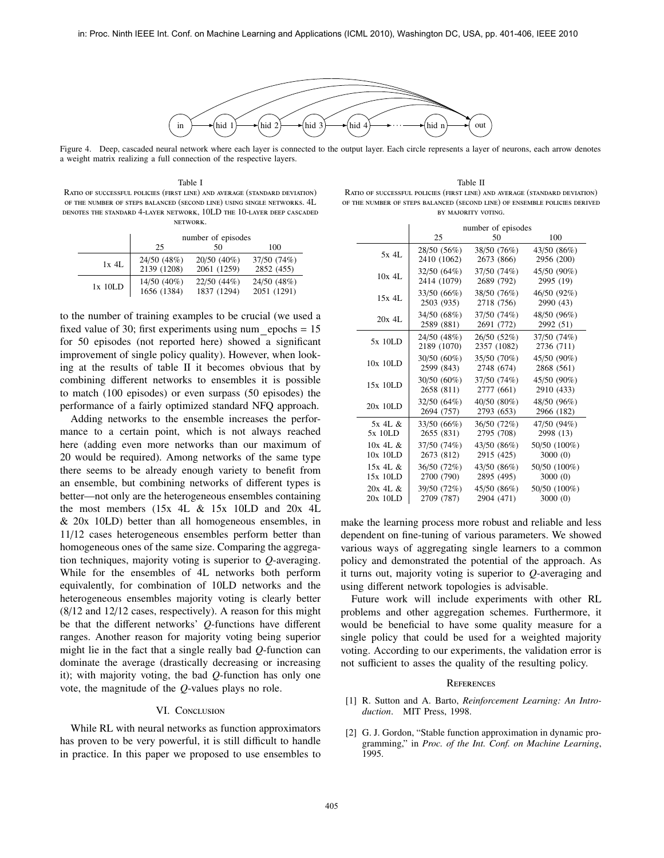

Figure 4. Deep, cascaded neural network where each layer is connected to the output layer. Each circle represents a layer of neurons, each arrow denotes a weight matrix realizing a full connection of the respective layers.

Table I Ratio of successful policies (first line) and average (standard deviation) of the number of steps balanced (second line) using single networks. 4L denotes the standard 4-layer network, 10LD the 10-layer deep cascaded network.

|         | number of episodes |             |             |
|---------|--------------------|-------------|-------------|
|         | 25                 | 50          | 100         |
| $1x$ 4L | 24/50 (48%)        | 20/50 (40%) | 37/50 (74%) |
|         | 2139 (1208)        | 2061 (1259) | 2852 (455)  |
| 1x10LD  | $14/50(40\%)$      | 22/50 (44%) | 24/50 (48%) |
|         | 1656 (1384)        | 1837 (1294) | 2051 (1291) |

to the number of training examples to be crucial (we used a fixed value of 30; first experiments using num epochs  $= 15$ for 50 episodes (not reported here) showed a significant improvement of single policy quality). However, when looking at the results of table II it becomes obvious that by combining different networks to ensembles it is possible to match (100 episodes) or even surpass (50 episodes) the performance of a fairly optimized standard NFQ approach.

Adding networks to the ensemble increases the performance to a certain point, which is not always reached here (adding even more networks than our maximum of 20 would be required). Among networks of the same type there seems to be already enough variety to benefit from an ensemble, but combining networks of different types is better—not only are the heterogeneous ensembles containing the most members  $(15x 4L \& 15x 10LD$  and  $20x 4L$ & 20x 10LD) better than all homogeneous ensembles, in 11/12 cases heterogeneous ensembles perform better than homogeneous ones of the same size. Comparing the aggregation techniques, majority voting is superior to *Q*-averaging. While for the ensembles of 4L networks both perform equivalently, for combination of 10LD networks and the heterogeneous ensembles majority voting is clearly better (8/12 and 12/12 cases, respectively). A reason for this might be that the different networks' *Q*-functions have different ranges. Another reason for majority voting being superior might lie in the fact that a single really bad *Q*-function can dominate the average (drastically decreasing or increasing it); with majority voting, the bad *Q*-function has only one vote, the magnitude of the *Q*-values plays no role.

#### VI. CONCLUSION

While RL with neural networks as function approximators has proven to be very powerful, it is still difficult to handle in practice. In this paper we proposed to use ensembles to

Table II Ratio of successful policies (first line) and average (standard deviation) of the number of steps balanced (second line) of ensemble policies derived by majority voting.

|            | number of episodes |             |              |
|------------|--------------------|-------------|--------------|
|            | 25                 | 50          | 100          |
| $5x$ 4L    | 28/50 (56%)        | 38/50 (76%) | 43/50 (86%)  |
|            | 2410 (1062)        | 2673 (866)  | 2956 (200)   |
| $10x$ 4L   | 32/50(64%)         | 37/50 (74%) | 45/50 (90%)  |
|            | 2414 (1079)        | 2689 (792)  | 2995 (19)    |
| $15x$ 4L   | 33/50 (66%)        | 38/50 (76%) | 46/50 (92%)  |
|            | 2503 (935)         | 2718 (756)  | 2990 (43)    |
| $20x$ 4L   | 34/50 (68%)        | 37/50 (74%) | 48/50 (96%)  |
|            | 2589 (881)         | 2691 (772)  | 2992 (51)    |
| 5x 10LD    | 24/50 (48%)        | 26/50 (52%) | 37/50 (74%)  |
|            | 2189 (1070)        | 2357 (1082) | 2736 (711)   |
| $10x$ 10LD | 30/50 (60%)        | 35/50 (70%) | 45/50 (90%)  |
|            | 2599 (843)         | 2748 (674)  | 2868 (561)   |
| $15x$ 10LD | 30/50 (60%)        | 37/50 (74%) | 45/50 (90%)  |
|            | 2658 (811)         | 2777 (661)  | 2910 (433)   |
| 20x 10LD   | 32/50(64%)         | 40/50 (80%) | 48/50 (96%)  |
|            | 2694 (757)         | 2793 (653)  | 2966 (182)   |
| 5x 4L &    | 33/50 (66%)        | 36/50 (72%) | 47/50 (94%)  |
| 5x 10LD    | 2655 (831)         | 2795 (708)  | 2998 (13)    |
| $10x$ 4L & | 37/50 (74%)        | 43/50 (86%) | 50/50 (100%) |
| 10x 10LD   | 2673 (812)         | 2915 (425)  | 3000(0)      |
| 15x 4L &   | 36/50 (72%)        | 43/50 (86%) | 50/50 (100%) |
| 15x 10LD   | 2700 (790)         | 2895 (495)  | 3000(0)      |
| 20x 4L &   | 39/50 (72%)        | 45/50 (86%) | 50/50 (100%) |
| 20x 10LD   | 2709 (787)         | 2904 (471)  | 3000(0)      |

make the learning process more robust and reliable and less dependent on fine-tuning of various parameters. We showed various ways of aggregating single learners to a common policy and demonstrated the potential of the approach. As it turns out, majority voting is superior to *Q*-averaging and using different network topologies is advisable.

Future work will include experiments with other RL problems and other aggregation schemes. Furthermore, it would be beneficial to have some quality measure for a single policy that could be used for a weighted majority voting. According to our experiments, the validation error is not sufficient to asses the quality of the resulting policy.

#### **REFERENCES**

- [1] R. Sutton and A. Barto, *Reinforcement Learning: An Introduction*. MIT Press, 1998.
- [2] G. J. Gordon, "Stable function approximation in dynamic programming," in *Proc. of the Int. Conf. on Machine Learning*, 1995.